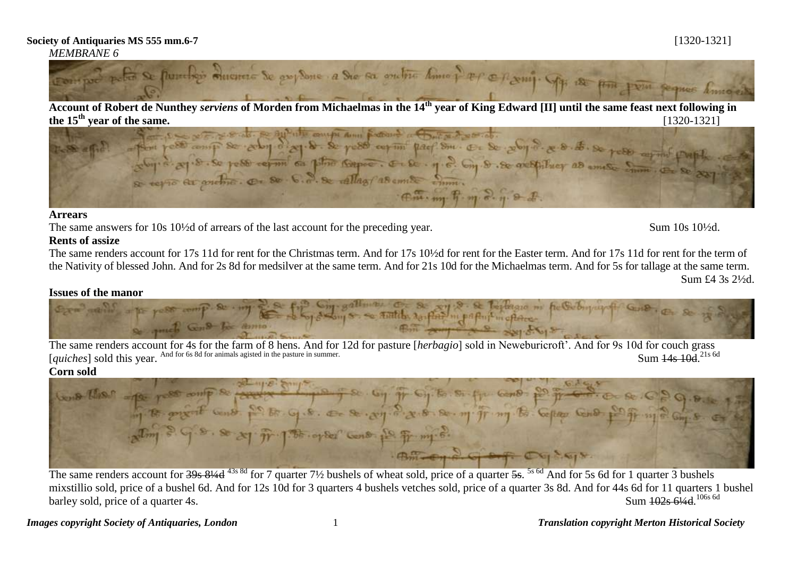# *MEMBRANE 6*



**Account of Robert de Nunthey** *serviens* **of Morden from Michaelmas in the 14th year of King Edward [II] until the same feast next following in** 



### **Arrears**

The same answers for 10s 10<sup>1</sup>/<sub>2</sub>d of arrears of the last account for the preceding year. Sum 10s 10<sup>1</sup>/<sub>2d</sub>.

# **Rents of assize**

The same renders account for 17s 11d for rent for the Christmas term. And for 17s 10½d for rent for the Easter term. And for 17s 11d for rent for the term of the Nativity of blessed John. And for 2s 8d for medsilver at the same term. And for 21s 10d for the Michaelmas term. And for 5s for tallage at the same term. Sum £4 3s 2½d.

# **Issues of the manor**

8. St Treplaced no he Geoman by soon so south as find in papert in open.

The same renders account for 4s for the farm of 8 hens. And for 12d for pasture [*herbagio*] sold in Neweburicroft'. And for 9s 10d for couch grass [*quiches*] sold this year. And for 6s 8d for animals agisted in the pasture in summer.  $Sum$   $\frac{14s}{10d}$   $^{21s}$  6d

# **Corn sold**



The same renders account for 39s 81/4d <sup>43s 8d</sup> for 7 quarter 7<sup>1</sup>/<sub>2</sub> bushels of wheat sold, price of a quarter 5s. <sup>5s 6d</sup> And for 5s 6d for 1 quarter 3 bushels mixstillio sold, price of a bushel 6d. And for 12s 10d for 3 quarters 4 bushels vetches sold, price of a quarter 3s 8d. And for 44s 6d for 11 quarters 1 bushel barley sold, price of a quarter 4s. Sum 102s 614d 106s 6d

*Images copyright Society of Antiquaries, London* 1 *Translation copyright Merton Historical Society*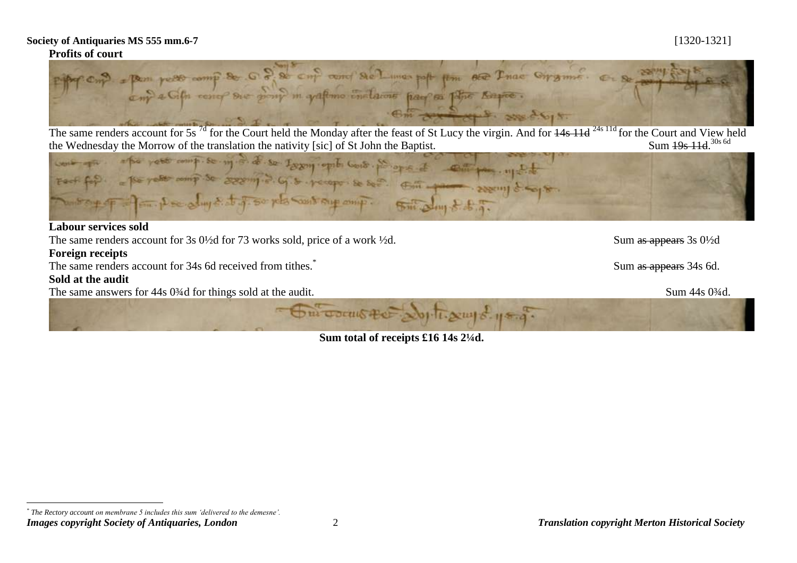

The same renders account for 5s<sup>7d</sup> for the Court held the Monday after the feast of St Lucy the virgin. And for <del>14s 11d</del> <sup>24s 11d</sup> for the Court and View held Sum  $\frac{19s}{11d}$ . 30s 6d



### **Labour services sold**

The same renders account for 3s 0<sup>1/2</sup>d for 73 works sold, price of a work <sup>1/2</sup>d. Sum as appears 3s 0<sup>1/2d</sup>

**Foreign receipts**

The same renders account for 34s 6d received from tithes.<sup>\*</sup>

### **Sold at the audit**

 $\overline{a}$ 

The same answers for 44s 0<sup>3</sup>/4d for things sold at the audit. Sum 44s 0<sup>3</sup>/4d.

Sum as appears 34s 6d.

**Sum total of receipts £16 14s 2¼d.**

Om count the South say of your

*Images copyright Society of Antiquaries, London* 2 *Translation copyright Merton Historical Society \* The Rectory account on membrane 5 includes this sum 'delivered to the demesne'.*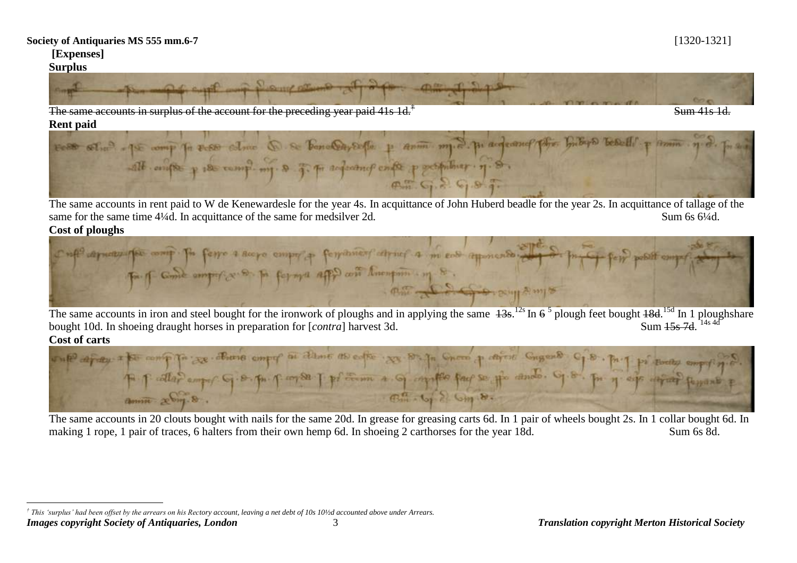# **[Expenses]**

# **Surplus**



The same accounts in surplus of the account for the preceding year paid 41s 1d.<sup>†</sup>



The same accounts in rent paid to W de Kenewardesle for the year 4s. In acquittance of John Huberd beadle for the year 2s. In acquittance of tallage of the same for the same time 4¼d. In acquittance of the same for medsilver 2d. Sum 6s 6¼d.



The same accounts in iron and steel bought for the ironwork of ploughs and in applying the same  $\frac{13s}{13}$ . In  $\frac{5}{10}$  plought  $\frac{18d}{150}$  In 1 ploughshare bought 10d. In shoeing draught horses in preparation for [*contra*] harvest 3d. Sum  $15s$  7d  $14s$  4d **Cost of carts** 



The same accounts in 20 clouts bought with nails for the same 20d. In grease for greasing carts 6d. In 1 pair of wheels bought 2s. In 1 collar bought 6d. In making 1 rope, 1 pair of traces, 6 halters from their own hemp 6d. In shoeing 2 carthorses for the year 18d. Sum 6s 8d.

*Images copyright Society of Antiquaries, London* 3 *Translation copyright Merton Historical Society*  $\overline{a}$ *† This 'surplus' had been offset by the arrears on his Rectory account, leaving a net debt of 10s 10½d accounted above under Arrears.*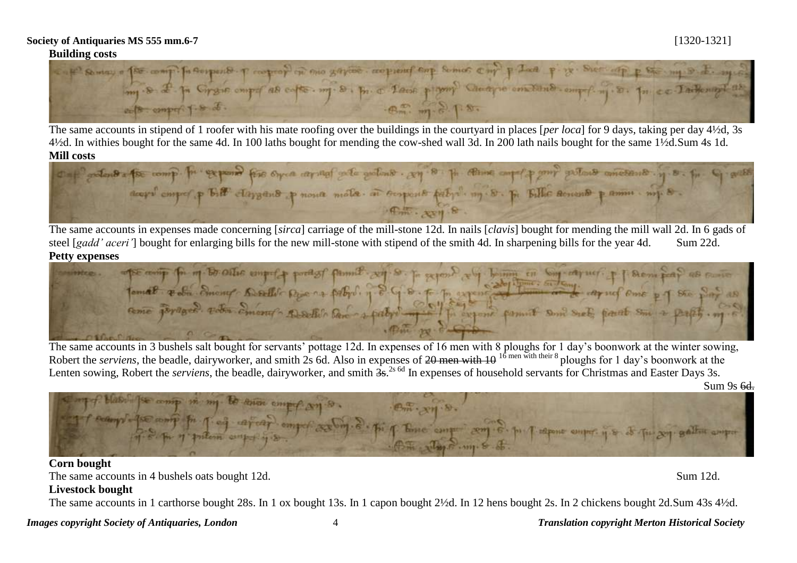

The same accounts in stipend of 1 roofer with his mate roofing over the buildings in the courtyard in places [*per loca*] for 9 days, taking per day 4½d, 3s 4½d. In withies bought for the same 4d. In 100 laths bought for mending the cow-shed wall 3d. In 200 lath nails bought for the same 1½d.Sum 4s 1d.

Mill costs and the comp. For exposed for once around out which are in the expert point with an expose of the form deeps emper p Bill claygent p none mole at superior petrol m. D. p. Billie senare p some . mp 8.

The same accounts in expenses made concerning [*sirca*] carriage of the mill-stone 12d. In nails [*clavis*] bought for mending the mill wall 2d. In 6 gads of steel [*gadd' aceri'*] bought for enlarging bills for the new mill-stone with stipend of the smith 4d. In sharpening bills for the year 4d. Sum 22d.

Petty expenses<br> **Petty expenses** with my Brathe engels product pumil and a performance of the performance of the performance of the performance of the performance of the performance of the performance of the performance of

The same accounts in 3 bushels salt bought for servants' pottage 12d. In expenses of 16 men with 8 ploughs for 1 day's boonwork at the winter sowing, Robert the *serviens*, the beadle, dairyworker, and smith 2s 6d. Also in expenses of 20 men with 10<sup>16</sup> men with their 8 ploughs for 1 day's boonwork at the Lenten sowing, Robert the *serviens*, the beadle, dairyworker, and smith  $\frac{2}{3}$  and  $\frac{2}{3}$  for an expenses of household servants for Christmas and Easter Days 3s.

Sum 9s 6d.



The same accounts in 4 bushels oats bought 12d. Sum 12d.

**Livestock bought**

The same accounts in 1 carthorse bought 28s. In 1 ox bought 13s. In 1 capon bought 2½d. In 12 hens bought 2s. In 2 chickens bought 2d.Sum 43s 4½d.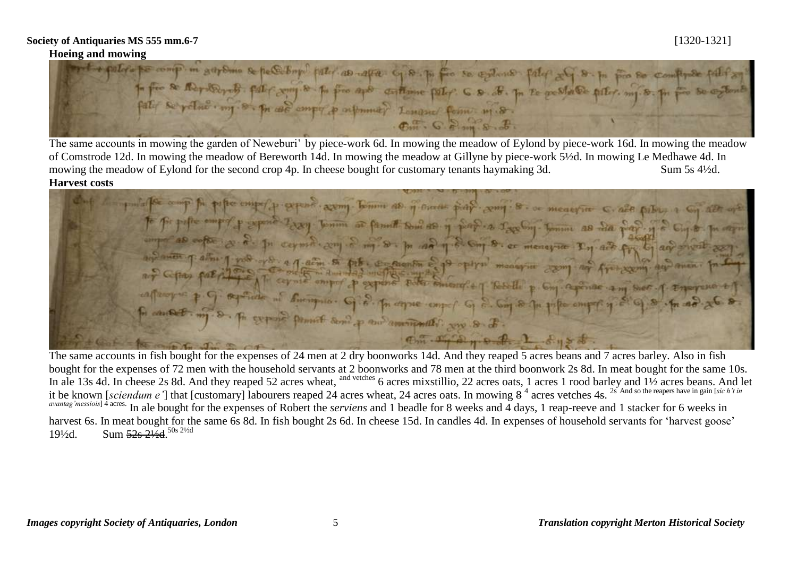Hoeing and mowing<br>**Hoeing and mowing we complement of the contract of the complex of the second party of the party of the first complex** to fin de Maydernts. par compte po pin apo entime par C & F. p. 20 gestale prix, mj. 8. p.

The same accounts in mowing the garden of Neweburi' by piece-work 6d. In mowing the meadow of Eylond by piece-work 16d. In mowing the meadow of Comstrode 12d. In mowing the meadow of Bereworth 14d. In mowing the meadow at Gillyne by piece-work 5½d. In mowing Le Medhawe 4d. In mowing the meadow of Eylond for the second crop 4p. In cheese bought for customary tenants haymaking 3d. Sum 5s 4½d. **Harvest costs** 

partoffe out for pulse emperies expendit example tomme as of since play compile . or measure c. also pulses a cop alle A fit pipe world p gymne 2, xxy Jemin as family swings of paper a sage of the couper of site of so the add as a<br>specific property of the couper of the second specific the model of the couper of the couper of the property o  $R_{\rm m}$ .  $R_{\rm m}$  and  $R_{\rm m}$  and  $R_{\rm m}$  is de.

The same accounts in fish bought for the expenses of 24 men at 2 dry boonworks 14d. And they reaped 5 acres beans and 7 acres barley. Also in fish bought for the expenses of 72 men with the household servants at 2 boonworks and 78 men at the third boonwork 2s 8d. In meat bought for the same 10s. In ale 13s 4d. In cheese 2s 8d. And they reaped 52 acres wheat, and vetches 6 acres mixstillio, 22 acres oats, 1 acres 1 rood barley and 1½ acres beans. And let it be known [sciendum e'] that [customary] labourers reaped 24 acres wheat, 24 acres oats. In mowing  $8<sup>4</sup>$  acres vetches 4s. <sup>2s And so the reapers have in gain [sic h't in</sup> *avantag'messiois*]<sup>4</sup> acres. In ale bought for the expenses of Robert the *serviens* and 1 beadle for 8 weeks and 4 days, 1 reap-reeve and 1 stacker for 6 weeks in harvest 6s. In meat bought for the same 6s 8d. In fish bought 2s 6d. In cheese 15d. In candles 4d. In expenses of household servants for 'harvest goose' 191/2d. Sum  $52s$   $2\frac{1}{2}d$ .<sup>50s 21/2d</sup>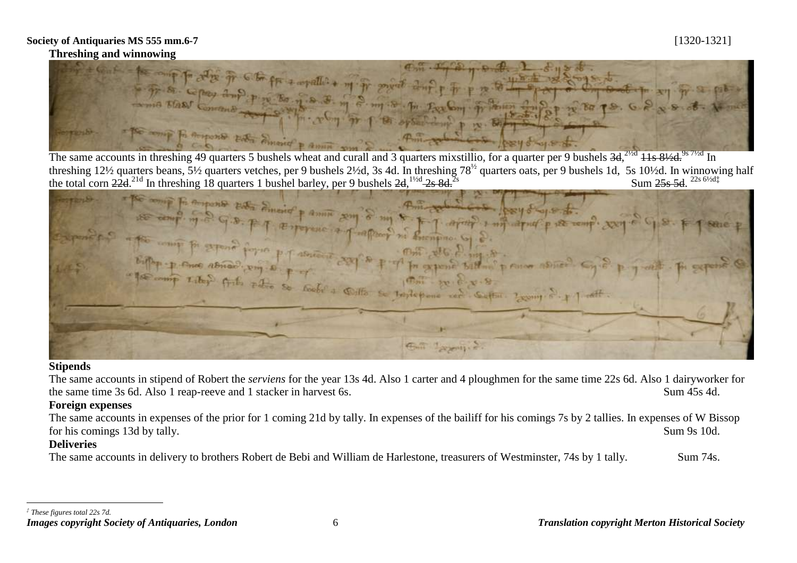# **Threshing and winnowing**



The same accounts in threshing 49 quarters 5 bushels wheat and curall and 3 quarters mixstillio, for a quarter per 9 bushels 3d, <sup>21/2d</sup> 11s 81/2d, <sup>9s 71/2d</sup> In threshing 12½ quarters beans, 5½ quarters vetches, per 9 bushels 2½d, 3s 4d. In threshing 78<sup>½</sup> quarters oats, per 9 bushels 1d, 5s 10½d. In winnowing half the total corn  $22d^{21d}$  In threshing 18 quarters 1 bushel barley, per 9 bushels  $2d$ ,  $\frac{1\text{yd}}{2s}$   $\frac{2s}{d}$ ,  $\frac{6\text{yd}}{d}$ 

Fi apporto esta Smerida parmi sen p the abnew pin of absence and b p of m grand b Cather: Leong S. P Gall Lagressive

### **Stipends**

The same accounts in stipend of Robert the *serviens* for the year 13s 4d. Also 1 carter and 4 ploughmen for the same time 22s 6d. Also 1 dairyworker for the same time 3s 6d. Also 1 reap-reeve and 1 stacker in harvest 6s. Sum 45s 4d.

# **Foreign expenses**

The same accounts in expenses of the prior for 1 coming 21d by tally. In expenses of the bailiff for his comings 7s by 2 tallies. In expenses of W Bissop for his comings 13d by tally. Sum 9s 10d.

# **Deliveries**

The same accounts in delivery to brothers Robert de Bebi and William de Harlestone, treasurers of Westminster, 74s by 1 tally. Sum 74s.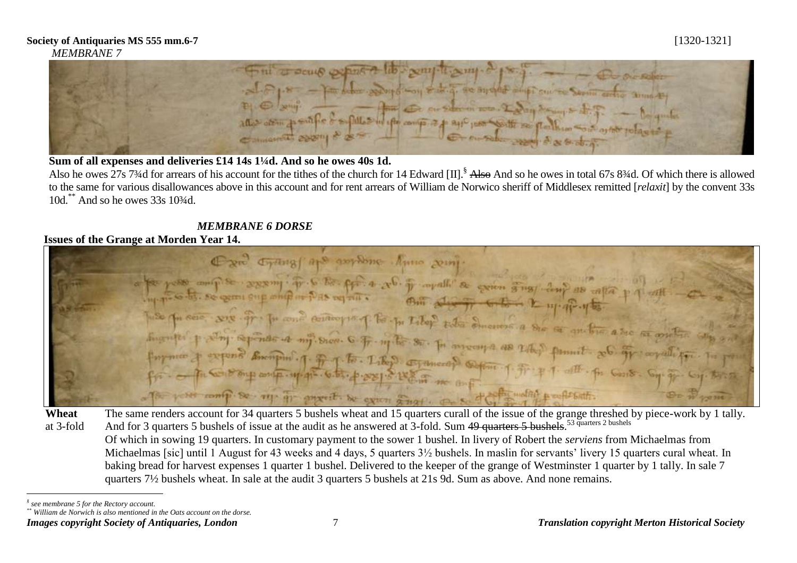

# Sum of all expenses and deliveries £14 14s 1<sup>1</sup>/<sub>4</sub>d. And so he owes 40s 1d.

Also he owes 27s 7<sup>3</sup>/4d for arrears of his account for the tithes of the church for 14 Edward [II].<sup>§</sup> Also And so he owes in total 67s 8<sup>3</sup>/4d. Of which there is allowed to the same for various disallowances above in this account and for rent arrears of William de Norwico sheriff of Middlesex remitted [*relaxit*] by the convent 33s 10d.\*\* And so he owes 33s 10¾d.

# *MEMBRANE 6 DORSE*

# **Issues of the Grange at Morden Year 14.**

Oxa Cymus ape authore Anno som to pose any se assume to be for a re- it available a general single dup as capa-The presence with it is not controlling to be taken the dimension a she is another a see as will The spines a my sion 6 fr my to so. In moons as the so anchie a see as and epond Bumpins 1. F. J. For. Like S. Examend Super 1. Fr. 7.1. office the Garden Superior of The Court . The same renders account for 34 quarters 5 bushels wheat and 15 quarters curall of the issue of the grange threshed by piece-work by 1 tally.

**Wheat** at 3-fold And for 3 quarters 5 bushels of issue at the audit as he answered at 3-fold. Sum 49 quarters 5 bushels.<sup>53 quarters 2 bushels</sup> Of which in sowing 19 quarters. In customary payment to the sower 1 bushel. In livery of Robert the *serviens* from Michaelmas from Michaelmas [sic] until 1 August for 43 weeks and 4 days, 5 quarters  $3\frac{1}{2}$  bushels. In maslin for servants' livery 15 quarters cural wheat. In baking bread for harvest expenses 1 quarter 1 bushel. Delivered to the keeper of the grange of Westminster 1 quarter by 1 tally. In sale 7 quarters 7½ bushels wheat. In sale at the audit 3 quarters 5 bushels at 21s 9d. Sum as above. And none remains.

 $\overline{a}$ *§ see membrane 5 for the Rectory account.*

*<sup>\*\*</sup> William de Norwich is also mentioned in the Oats account on the dorse.*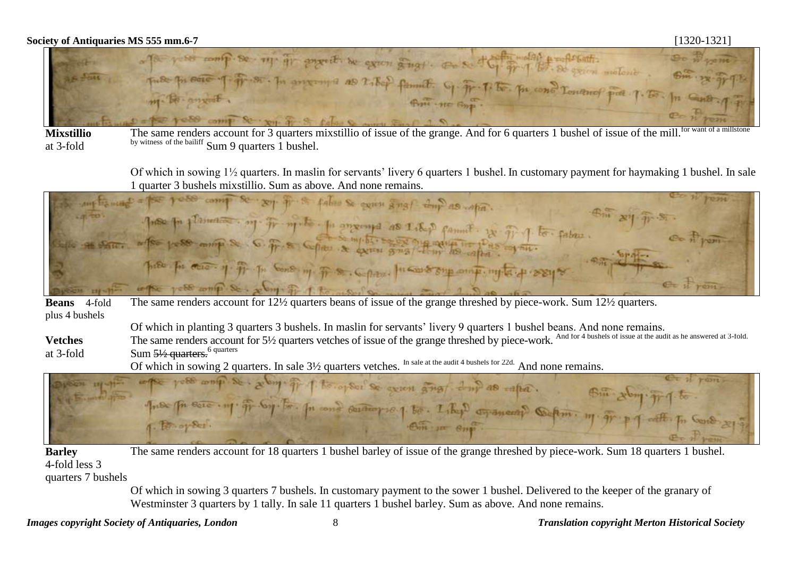

**Mixstillio**  at 3-fold

The same renders account for 3 quarters mixstillio of issue of the grange. And for 6 quarters 1 bushel of issue of the mill by witness of the bailiff Sum 9 quarters 1 bushel.

Of which in sowing 1½ quarters. In maslin for servants' livery 6 quarters 1 bushel. In customary payment for haymaking 1 bushel. In sale 1 quarter 3 bushels mixstillio. Sum as above. And none remains.

| any transact = por your comp se say if it false so executes and do what.                               | even presse |
|--------------------------------------------------------------------------------------------------------|-------------|
| (Ban 29 Tr. S.<br>Tres por planness. org. Fr. m. t. p. angering as I. R.p. famil. It Fil J. to. fabre. |             |
|                                                                                                        | Co n'pon    |
| Some of the post mine & G. T. & Collette & expire gris the solar collection of the<br>em STE           |             |
| p.s. for most of fit in Cons m. F. S. Copper funds superint in the of seeing                           |             |
| with yell write St. July of 1 to which a                                                               | C= il rem-  |

**Beans** 4-fold plus 4 bushels The same renders account for 12½ quarters beans of issue of the grange threshed by piece-work. Sum 12½ quarters.

Of which in planting 3 quarters 3 bushels. In maslin for servants' livery 9 quarters 1 bushel beans. And none remains.

**Vetches** at 3-fold The same renders account for 5<sup>1</sup>/<sub>2</sub> quarters vetches of issue of the grange threshed by piece-work. And for 4 bushels of issue at the audit as he answered at 3-fold. Sum 51/2 quarters.<sup>6 quarters</sup>



**Barley**  4-fold less 3 The same renders account for 18 quarters 1 bushel barley of issue of the grange threshed by piece-work. Sum 18 quarters 1 bushel.

quarters 7 bushels

Of which in sowing 3 quarters 7 bushels. In customary payment to the sower 1 bushel. Delivered to the keeper of the granary of Westminster 3 quarters by 1 tally. In sale 11 quarters 1 bushel barley. Sum as above. And none remains.

*Images copyright Society of Antiquaries, London* 8 *Translation copyright Merton Historical Society*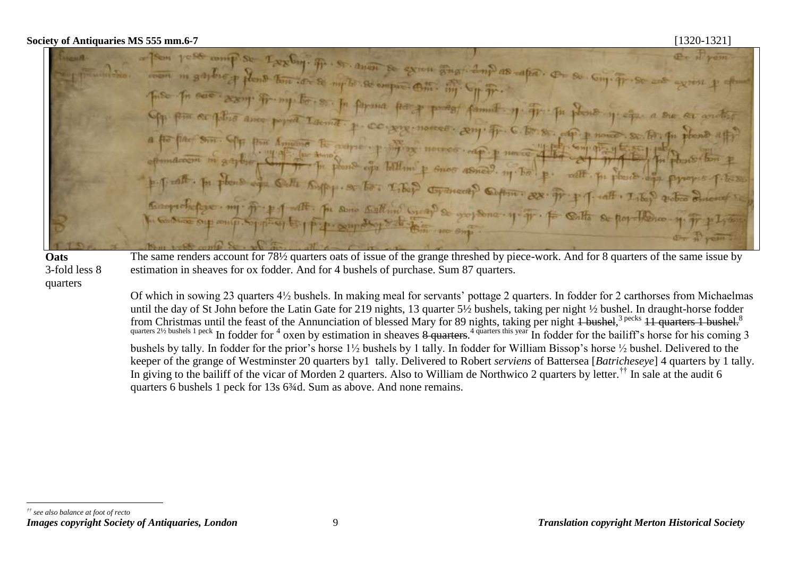se exien anaf dup as apa. On dicand. Alternat CO . APP . Horzes power propose nomes . ap. **P** Henrice P Gnos ASHee, 111 hz **Chydrical** Coffin : RX For some Ball and Grap & grof Song . 4-4-



 $\overline{a}$ 

The same renders account for 78½ quarters oats of issue of the grange threshed by piece-work. And for 8 quarters of the same issue by estimation in sheaves for ox fodder. And for 4 bushels of purchase. Sum 87 quarters.

Of which in sowing 23 quarters 4½ bushels. In making meal for servants' pottage 2 quarters. In fodder for 2 carthorses from Michaelmas until the day of St John before the Latin Gate for 219 nights, 13 quarter 5½ bushels, taking per night ½ bushel. In draught-horse fodder from Christmas until the feast of the Annunciation of blessed Mary for 89 nights, taking per night 4 bushel,<sup>3 pecks</sup> 11 quarters 1 bushel.<sup>8</sup> quarters 2<sup>1/2</sup> bushels 1 peck In fodder for  $4$  oxen by estimation in sheaves  $8$  quarters.<sup>4</sup> quarters this year In fodder for the bailiff's horse for his coming 3 bushels by tally. In fodder for the prior's horse 1½ bushels by 1 tally. In fodder for William Bissop's horse ½ bushel. Delivered to the keeper of the grange of Westminster 20 quarters by1 tally. Delivered to Robert *serviens* of Battersea [*Batricheseye*] 4 quarters by 1 tally. In giving to the bailiff of the vicar of Morden 2 quarters. Also to William de Northwico 2 quarters by letter.<sup>††</sup> In sale at the audit 6 quarters 6 bushels 1 peck for 13s 6<sup>3</sup>/<sub>4</sub>d. Sum as above. And none remains.

*Images copyright Society of Antiquaries, London* 9 *Translation copyright Merton Historical Society †† see also balance at foot of recto*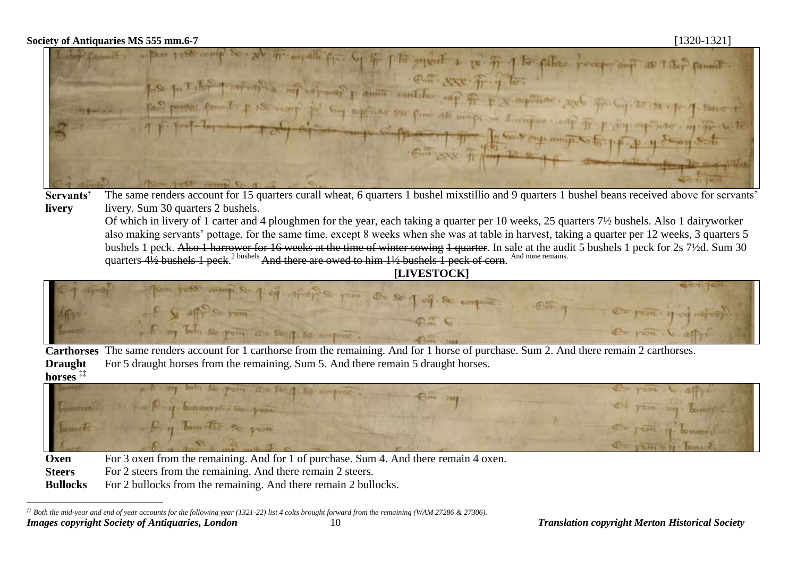$\overline{a}$ 



**Servants' livery** The same renders account for 15 quarters curall wheat, 6 quarters 1 bushel mixstillio and 9 quarters 1 bushel beans received above for servants' livery. Sum 30 quarters 2 bushels.

Of which in livery of 1 carter and 4 ploughmen for the year, each taking a quarter per 10 weeks, 25 quarters 7½ bushels. Also 1 dairyworker also making servants' pottage, for the same time, except 8 weeks when she was at table in harvest, taking a quarter per 12 weeks, 3 quarters 5 bushels 1 peck. Also 1 harrower for 16 weeks at the time of winter sowing 1 quarter. In sale at the audit 5 bushels 1 peck for 2s 7½d. Sum 30 quarters 41/2 bushels 1 peck.<sup>2 bushels</sup> And there are owed to him 11/2 bushels 1 peck of corn. <sup>And none remains.</sup>

**[LIVESTOCK]**



**Carthorses** The same renders account for 1 carthorse from the remaining. And for 1 horse of purchase. Sum 2. And there remain 2 carthorses. **Draught horses ‡‡** For 5 draught horses from the remaining. Sum 5. And there remain 5 draught horses.



**Oxen** For 3 oxen from the remaining. And for 1 of purchase. Sum 4. And there remain 4 oxen.

**Steers** For 2 steers from the remaining. And there remain 2 steers.

**Bullocks** For 2 bullocks from the remaining. And there remain 2 bullocks.

*Images copyright Society of Antiquaries, London* 10 *Translation copyright Merton Historical Society ‡‡ Both the mid-year and end of year accounts for the following year (1321-22) list 4 colts brought forward from the remaining (WAM 27286 & 27306).*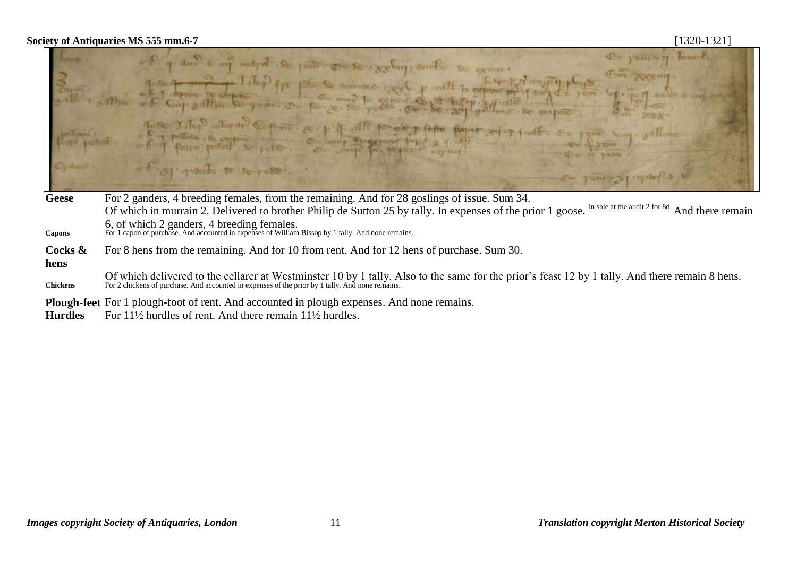| the possible | De yem 11 tomate<br>- 1 and + my mayd Se point & se region tordo se genn.<br>This power<br>The form of Tilep for place and we come with in approach Tang of your control and an<br>Althur of Congration to poster on the set of the set of all fall of the support of the set of the set of the set of the set of the set of the set of the set of the set of the set of the set of the set of the set of the set<br>The Islep Joyar Chin er 1 9 All to ob plots forme arigonale. To you say solling<br>- E y poten e contra e compre propre de la parte de la prom<br>- 1 x1 quebs s s speso.<br>Or your Sprach + S |
|--------------|----------------------------------------------------------------------------------------------------------------------------------------------------------------------------------------------------------------------------------------------------------------------------------------------------------------------------------------------------------------------------------------------------------------------------------------------------------------------------------------------------------------------------------------------------------------------------------------------------------------------|
| Geese        | For 2 ganders, 4 breeding females, from the remaining. And for 28 goslings of issue. Sum 34.                                                                                                                                                                                                                                                                                                                                                                                                                                                                                                                         |

- Of which in murrain 2. Delivered to brother Philip de Sutton 25 by tally. In expenses of the prior 1 goose. In sale at the audit 2 for 8d. And there remain 6, of which 2 ganders, 4 breeding females. **Capons** For 1 capon of purchase. And accounted in expenses of William Bissop by 1 tally. And none remains.
- **Cocks &**  For 8 hens from the remaining. And for 10 from rent. And for 12 hens of purchase. Sum 30.
- **hens**

Of which delivered to the cellarer at Westminster 10 by 1 tally. Also to the same for the prior's feast 12 by 1 tally. And there remain 8 hens.<br>For 2 chickens of purchase. And accounted in expenses of the prior by 1 tally.

**Plough-feet** For 1 plough-foot of rent. And accounted in plough expenses. And none remains.<br>**Hurdles** For 11<sup>1</sup>/<sub>2</sub> hurdles of rent. And there remain 11<sup>1</sup>/<sub>2</sub> hurdles.

**Hurdles** For 11½ hurdles of rent. And there remain 11½ hurdles.